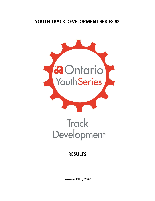## **YOUTH TRACK DEVELOPMENT SERIES #2**



## **Track** Development

## **RESULTS**

**January 11th, 2020**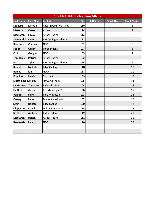| <b>SCRATCH RACE - A - 6km/24laps</b> |                                         |                           |            |            |                     |                      |  |
|--------------------------------------|-----------------------------------------|---------------------------|------------|------------|---------------------|----------------------|--|
| <b>Last Name</b>                     | <b>First Name</b>                       | <b>Affiliates</b>         | <b>Bib</b> | LAPS $+/-$ | <b>Finish Order</b> | <b>Final Placing</b> |  |
| Leonard                              | <b>Michael</b><br>Racer Sportif/Mattamy |                           | 110        |            |                     | 1                    |  |
| <b>Mattern</b>                       | <b>Carson</b>                           | Ascent                    | 114        |            |                     | $\overline{2}$       |  |
| <b>MacEwen</b>                       | <b>Finlay</b>                           | <b>Attack Racing</b>      | 112        |            |                     | 3                    |  |
| <b>Szemeczko</b>                     | Evan                                    | <b>KW Cycling Academy</b> | 121        |            |                     | $\overline{4}$       |  |
| <b>Bergeron</b>                      | <b>Charles</b>                          | <b>NCCH</b>               | 101        |            |                     | 5                    |  |
| Fedor                                | Quinn                                   | Independent               | 107        |            |                     | 6                    |  |
| Cuff                                 | Gregory                                 | <b>NCCH</b>               | 103        |            |                     | $\overline{7}$       |  |
| <b>Tompkins</b>                      | <b>Patrick</b>                          | <b>Attack Racing</b>      | 122        |            |                     | 8                    |  |
| <b>Rorke</b>                         | <b>Tyler</b>                            | <b>KW Cycling Academy</b> | 124        |            |                     | 9                    |  |
| <b>Roberts</b>                       | <b>Nicholas</b>                         | <b>Edge Cycling</b>       | 118        |            |                     | 10                   |  |
| <b>Reinke</b>                        | lan                                     | <b>NCCH</b>               | 117        |            |                     | 11                   |  |
| <b>Kopchak</b>                       | Lewis                                   | <b>Startrack</b>          | 109        |            |                     | 12                   |  |
| <b>Elliott-Cordd Andres</b>          |                                         | Neworld Team              | 105        |            |                     | 13                   |  |
| De Groote                            | Theodore                                | Ride With Ryan            | 104        |            |                     | 14                   |  |
| <b>Hadfield</b>                      | Gavin                                   | Peterborough CC           | 108        |            |                     | 15                   |  |
| Valenti                              | Luke                                    | Ride with Ryan            | 123        |            |                     | 16                   |  |
| Carney                               | Liam                                    | Madonna Wheelers          | 102        |            |                     | 17                   |  |
| <b>Stein</b>                         | <b>Dakota</b>                           | <b>Edge Cycling</b>       | 120        |            |                     | 18                   |  |
| Olejniczak                           | <b>David</b>                            | Milton Revolution         | 115        |            |                     | 19                   |  |
| <b>Scott</b>                         | <b>Andrew</b>                           | Independent               | 119        |            |                     | 20                   |  |
| <b>MacEwen</b>                       | <b>Benen</b>                            | <b>Attack Racing</b>      | 111        |            |                     | 21                   |  |
| Rauwerda                             | Lucas                                   | <b>NCCH</b>               | 116        |            |                     | 22                   |  |
|                                      |                                         |                           |            |            |                     |                      |  |
|                                      |                                         |                           |            |            |                     |                      |  |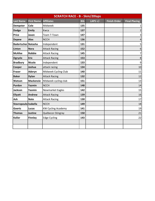| <b>SCRATCH RACE - B - 5km/20laps</b> |                   |                           |            |            |                     |                      |  |
|--------------------------------------|-------------------|---------------------------|------------|------------|---------------------|----------------------|--|
| <b>Last Name</b>                     | <b>First Name</b> | <b>Affiliates</b>         | <b>Bib</b> | LAPS $+/-$ | <b>Finish Order</b> | <b>Final Placing</b> |  |
| <b>Dempster</b>                      | Cole              | Midweek                   | 135        |            |                     | 1                    |  |
| <b>Dodge</b>                         | <b>Emily</b>      | Kwca                      | 137        |            |                     | $\overline{2}$       |  |
| <b>Price</b>                         | Jason             | <b>Team T-Town</b>        | 147        |            |                     | $\mathsf{3}$         |  |
| <b>Depew</b>                         | <b>Alex</b>       | <b>NCCH</b>               | 136        |            |                     | 4                    |  |
| <b>Badertscher Natasha</b>           |                   | Independent               | 131        |            |                     | $\mathsf S$          |  |
| Linton                               | <b>Nora</b>       | <b>Attack Racing</b>      | 152        |            |                     | $\boldsymbol{6}$     |  |
| <b>McAfee</b>                        | <b>Robbie</b>     | <b>Attack Racing</b>      | 145        |            |                     | $\overline{7}$       |  |
| Ogryzlo                              | <b>Eric</b>       | <b>Attack Racing</b>      | 153        |            |                     | $\bf 8$              |  |
| <b>Bradbury</b>                      | <b>Nicole</b>     | Independent               | 133        |            |                     | $\overline{9}$       |  |
| Cooper                               | Joshua            | attack racing             | 134        |            |                     | 10                   |  |
| <b>Fraser</b>                        | Aderyn            | Midweek Cycling Club      | 140        |            |                     | 11                   |  |
| <b>Baker</b>                         | <b>Dylan</b>      | <b>Attack Racing</b>      | 132        |            |                     | 12                   |  |
| Watson                               | <b>Mackenzie</b>  | Midweek cycling club      | 151        |            |                     | 13                   |  |
| Purdon                               | Yazmin            | <b>NCCH</b>               | 148        |            |                     | 14                   |  |
| Jackson                              | Yasmin            | Newmarket Eagles          | 142        |            |                     | 15                   |  |
| <b>Ellyatt</b>                       | <b>Andrew</b>     | <b>Attack Racing</b>      | 139        |            |                     | 16                   |  |
| Ash                                  | <b>Nate</b>       | <b>Attack Racing</b>      | 130        |            |                     | 17                   |  |
| Stavropoulo Isabella                 |                   | <b>NCCH</b>               | 149        |            |                     | 18                   |  |
| Goertz                               | <b>Lucas</b>      | <b>KW Cycling Academy</b> | 141        |            |                     | 19                   |  |
| <b>Thomas</b>                        | Justine           | Québecor-Stingray         | 150        |            |                     | 21                   |  |
| <b>Koller</b>                        | <b>Finnley</b>    | <b>Edge Cycling</b>       | 143        |            |                     | 22                   |  |
|                                      |                   |                           |            |            |                     |                      |  |
|                                      |                   |                           |            |            |                     |                      |  |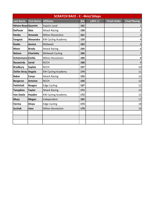| <b>SCRATCH RACE - C - 4km/16laps</b> |                   |                           |            |            |                     |                      |  |
|--------------------------------------|-------------------|---------------------------|------------|------------|---------------------|----------------------|--|
| <b>Last Name</b>                     | <b>First Name</b> | <b>Affiliates</b>         | <b>Bib</b> | LAPS $+/-$ | <b>Finish Order</b> | <b>Final Placing</b> |  |
| Hénon-Boye Quentin                   |                   | <b>Espoirs Laval</b>      | 162        |            |                     | $\mathbf{1}$         |  |
| <b>DePauw</b>                        | <b>Alex</b>       | <b>Attack Racing</b>      | 158        |            |                     | $\mathbf{2}$         |  |
| <b>Henke</b>                         | Amanda            | <b>Milton Revolution</b>  | 161        |            |                     | $\mathsf{3}$         |  |
| Fangeat                              | Alexandra         | <b>KW Cycling Academy</b> | 159        |            |                     | $\pmb{4}$            |  |
| <b>Kaake</b>                         | Jessica           | Midweek                   | 163        |            |                     | 5                    |  |
| <b>Mann</b>                          | <b>Brody</b>      | <b>Attack Racing</b>      | 164        |            |                     | $\boldsymbol{6}$     |  |
| <b>Nelson</b>                        | <b>Charlotte</b>  | Midweek Cycling           | 166        |            |                     | $\overline{7}$       |  |
| Schatzmann Emilie                    |                   | <b>Milton Revolution</b>  | 169        |            |                     | 8 <sup>1</sup>       |  |
| Rauwerda                             | <b>Jared</b>      | <b>NCCH</b>               | 168        |            |                     | $\overline{9}$       |  |
| <b>Bradbury</b>                      | Sophie            | <b>NCCH</b>               | 157        |            |                     | 10                   |  |
| Zielke-Stray                         | Angela            | <b>KW Cycling Academy</b> | 174        |            |                     | 11                   |  |
| <b>Baker</b>                         | Coryn             | <b>Attack Racing</b>      | 155        |            |                     | 12                   |  |
| <b>Bergeron</b>                      | <b>Antoine</b>    | <b>NCCH</b>               | 156        |            |                     | 12                   |  |
| <b>Pattishall</b>                    | Reagen            | <b>Edge Cycling</b>       | 167        |            |                     | 12                   |  |
| <b>Tompkins</b>                      | <b>Taylor</b>     | <b>Attack Racing</b>      | 171        |            |                     | 12                   |  |
| <b>Van Daele</b>                     | Hayden            | <b>KW Cycling Academy</b> | 172        |            |                     | 12                   |  |
| <b>Muys</b>                          | <b>Megan</b>      | Independent               | 165        |            |                     | 17                   |  |
| Verma                                | <b>Divya</b>      | <b>Edge Cycling</b>       | 173        |            |                     | 18                   |  |
| <b>Suchak</b>                        | <b>Veer</b>       | <b>Milton Revolution</b>  | 170        |            |                     | 19                   |  |
|                                      |                   |                           |            |            |                     |                      |  |
|                                      |                   |                           |            |            |                     |                      |  |
|                                      |                   |                           |            |            |                     |                      |  |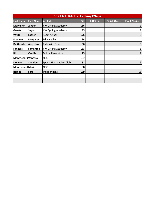| <b>SCRATCH RACE - D - 3km/12laps</b> |                   |                           |            |            |                     |                         |  |  |
|--------------------------------------|-------------------|---------------------------|------------|------------|---------------------|-------------------------|--|--|
| <b>Last Name</b>                     | <b>First Name</b> | <b>Affiliates</b>         | <b>Bib</b> | LAPS $+/-$ | <b>Finish Order</b> | <b>Final Placing</b>    |  |  |
| <b>McMullen</b>                      | Jayden            | <b>KW Cycling Academy</b> | 186        |            |                     | $\mathbf{1}$            |  |  |
| <b>Goertz</b>                        | Sagan             | <b>KW Cycling Academy</b> | 185        |            |                     | $\overline{2}$          |  |  |
| White                                | <b>Escher</b>     | Team Attack               | 176        |            |                     | $\overline{3}$          |  |  |
| Freeman                              | <b>Margaret</b>   | <b>Edge Cycling</b>       | 184        |            |                     | $\overline{\mathbf{4}}$ |  |  |
| De Groote                            | <b>Augustus</b>   | Ride With Ryan            | 180        |            |                     | 5                       |  |  |
| <b>Fangeat</b>                       | Samantha          | <b>KW Cycling Academy</b> | 183        |            |                     | 6                       |  |  |
| <b>Rico</b>                          | Camila            | <b>Milton Revolution</b>  | 175        |            |                     | $\overline{7}$          |  |  |
| <b>Montrichard Vanessa</b>           |                   | <b>NCCH</b>               | 187        |            |                     | $\bf 8$                 |  |  |
| <b>Drewitt</b>                       | Sheldon           | Speed River Cycling Club  | 181        |            |                     | $9\,$                   |  |  |
| <b>Montrichard Maria</b>             |                   | <b>NCCH</b>               | 188        |            |                     | 10                      |  |  |
| Reinke                               | <b>Sara</b>       | Independent               | 189        |            |                     | 11                      |  |  |
|                                      |                   |                           |            |            |                     |                         |  |  |
|                                      |                   |                           |            |            |                     |                         |  |  |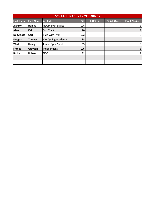| <b>SCRATCH RACE - E - 2km/8laps</b> |                   |                           |                      |  |  |                |  |  |
|-------------------------------------|-------------------|---------------------------|----------------------|--|--|----------------|--|--|
| <b>Last Name</b>                    | <b>First Name</b> | <b>Finish Order</b>       | <b>Final Placing</b> |  |  |                |  |  |
| Jackson                             | Haniya            | <b>Newmarket Eagles</b>   | 194                  |  |  | 1              |  |  |
| Afan                                | Kai               | <b>Star Track</b>         | 190                  |  |  | $\overline{2}$ |  |  |
| De Groote                           | Carl              | Ride With Ryan            | 192                  |  |  | $\overline{3}$ |  |  |
| Fangeat                             | <b>Thomas</b>     | <b>KW Cycling Academy</b> | 193                  |  |  | $\overline{4}$ |  |  |
| <b>Wert</b>                         | <b>Henry</b>      | Junior Cycle Sport        | 195                  |  |  | 5 <sup>1</sup> |  |  |
| <b>Franks</b>                       | Grayson           | Independent               | 196                  |  |  | 6              |  |  |
| <b>Burke</b>                        | Rohan             | <b>NCCH</b>               | 191                  |  |  | $\overline{7}$ |  |  |
|                                     |                   |                           |                      |  |  |                |  |  |
|                                     |                   |                           |                      |  |  |                |  |  |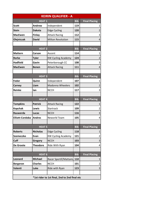| <b>KEIRIN QUALIFIER - A</b>                   |                 |                           |            |                      |  |  |
|-----------------------------------------------|-----------------|---------------------------|------------|----------------------|--|--|
|                                               | <b>HEAT 1</b>   |                           | <b>Bib</b> | <b>Final Placing</b> |  |  |
| <b>Scott</b>                                  | <b>Andrew</b>   | Independent               | 119        | 1                    |  |  |
| <b>Stein</b>                                  | <b>Dakota</b>   | <b>Edge Cycling</b>       | 120        | $\overline{2}$       |  |  |
| <b>MacEwen</b>                                | <b>Finlay</b>   | <b>Attack Racing</b>      | 112        | 3                    |  |  |
| Olejniczak                                    | <b>David</b>    | <b>Milton Revolution</b>  | 115        | 4                    |  |  |
|                                               |                 |                           |            |                      |  |  |
|                                               | <b>HEAT 2</b>   |                           | <b>Bib</b> | <b>Final Placing</b> |  |  |
| <b>Mattern</b>                                | Carson          | Ascent                    | 114        | 1                    |  |  |
| <b>Rorke</b>                                  | <b>Tyler</b>    | <b>KW Cycling Academy</b> | 124        |                      |  |  |
| <b>Hadfield</b>                               | Gavin           | Peterborough CC           | 108        | 3                    |  |  |
| <b>MacEwen</b>                                | <b>Benen</b>    | <b>Attack Racing</b>      | 111        | 4                    |  |  |
|                                               |                 |                           |            |                      |  |  |
|                                               | <b>HEAT 3</b>   |                           | <b>Bib</b> | <b>Final Placing</b> |  |  |
| Fedor                                         | Quinn           | Independent               | 107        | 1                    |  |  |
| Carney                                        | Liam            | <b>Madonna Wheelers</b>   | 102        | 2                    |  |  |
| <b>Reinke</b>                                 | lan             | <b>NCCH</b>               | 117        | 3                    |  |  |
|                                               |                 |                           |            |                      |  |  |
|                                               | <b>HEAT4</b>    |                           | <b>Bib</b> | <b>Final Placing</b> |  |  |
| <b>Tompkins</b>                               | <b>Patrick</b>  | <b>Attack Racing</b>      | 122        | 1                    |  |  |
| <b>Kopchak</b>                                | Lewis           | Startrack                 | 109        | 2                    |  |  |
| Rauwerda                                      | Lucas           | <b>NCCH</b>               | 116        | 3                    |  |  |
| <b>Elliott-Cordoba</b>                        | <b>Andres</b>   | <b>Neworld Team</b>       | 105        | 4                    |  |  |
|                                               |                 |                           |            |                      |  |  |
|                                               | <b>HEAT 5</b>   |                           | <b>Bib</b> | <b>Final Placing</b> |  |  |
| <b>Roberts</b>                                | <b>Nicholas</b> | <b>Edge Cycling</b>       | 118        | 1                    |  |  |
| <b>Szemeczko</b>                              | Evan            | <b>KW Cycling Academy</b> | 121        | 2                    |  |  |
| Cuff                                          | <b>Gregory</b>  | <b>NCCH</b>               | 103        | 3                    |  |  |
| De Groote                                     | <b>Theodore</b> | Ride With Ryan            | 104        | 4                    |  |  |
|                                               |                 |                           |            |                      |  |  |
|                                               | <b>HEAT 6</b>   |                           | <b>Bib</b> | <b>Final Placing</b> |  |  |
| Leonard                                       | <b>Michael</b>  | Racer Sportif/Mattamy     | 110        | 1                    |  |  |
| <b>Bergeron</b>                               | <b>Charles</b>  | <b>NCCH</b>               | 101        | 2                    |  |  |
| Valenti                                       | Luke            | Ride with Ryan            | 123        | 3                    |  |  |
|                                               |                 |                           |            |                      |  |  |
| *1st rider to 1st final, 2nd to 2nd final etc |                 |                           |            |                      |  |  |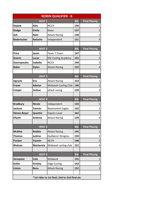| <b>KEIRIN QUALIFIER - B</b>                   |                  |                           |            |                         |  |  |
|-----------------------------------------------|------------------|---------------------------|------------|-------------------------|--|--|
|                                               | <b>HEAT1</b>     |                           | <b>Bib</b> | <b>Final Placing</b>    |  |  |
| <b>Depew</b>                                  | <b>Alex</b>      | <b>NCCH</b>               | 136        | 1                       |  |  |
| <b>Dodge</b>                                  | <b>Emily</b>     | Kwca                      | 137        | $\overline{2}$          |  |  |
| Ash                                           | <b>Nate</b>      | <b>Attack Racing</b>      | 130        | 3                       |  |  |
| <b>Badertscher</b>                            | <b>Natasha</b>   | Independent               | 131        | 4                       |  |  |
|                                               |                  |                           |            |                         |  |  |
|                                               | <b>HEAT 2</b>    |                           | <b>Bib</b> | <b>Final Placing</b>    |  |  |
| <b>Price</b>                                  | Jason            | <b>Team T-Town</b>        | 147        | 1                       |  |  |
| Goertz                                        | Lucas            | <b>KW Cycling Academy</b> | 141        |                         |  |  |
| <b>Stavropoulos</b>                           | Isabella         | <b>NCCH</b>               | 149        | 3                       |  |  |
| <b>Baker</b>                                  | <b>Dylan</b>     | <b>Attack Racing</b>      | 132        | 4                       |  |  |
|                                               |                  |                           |            |                         |  |  |
|                                               | <b>HEAT 3</b>    |                           | <b>Bib</b> | <b>Final Placing</b>    |  |  |
| Ogryzlo                                       | <b>Eric</b>      | <b>Attack Racing</b>      | 153        | 1                       |  |  |
| <b>Fraser</b>                                 | Aderyn           | Midweek Cycling Club      | 140        | $\overline{2}$          |  |  |
| Cooper                                        | Joshua           | attack racing             | 134        | 3                       |  |  |
|                                               |                  |                           |            |                         |  |  |
|                                               | <b>HEAT4</b>     |                           | <b>Bib</b> | <b>Final Placing</b>    |  |  |
| <b>Bradbury</b>                               | <b>Nicole</b>    | Independent               | 133        | 1                       |  |  |
| <b>Jackson</b>                                | Yasmin           | <b>Newmarket Eagles</b>   | 142        | 2                       |  |  |
| Hénon-Boyer                                   | Quentin          | <b>Espoirs Laval</b>      | 162        | 3                       |  |  |
| <b>Ellyatt</b>                                | <b>Andrew</b>    | <b>Attack Racing</b>      | 139        | 4                       |  |  |
|                                               |                  |                           |            |                         |  |  |
|                                               | <b>HEAT 5</b>    |                           | <b>Bib</b> | <b>Final Placing</b>    |  |  |
| <b>McAfee</b>                                 | <b>Robbie</b>    | <b>Attack Racing</b>      | 145        | 1                       |  |  |
| <b>Thomas</b>                                 | <b>Justine</b>   | Québecor-Stingray         | 150        | $\overline{\mathbf{c}}$ |  |  |
| Purdon                                        | Yazmin           | <b>NCCH</b>               | 148        | 3                       |  |  |
| <b>Watson</b>                                 | <b>Mackenzie</b> | Midweek cycling club      | 151        | 4                       |  |  |
|                                               |                  |                           |            |                         |  |  |
| <b>HEAT 6</b>                                 |                  |                           |            | <b>Final Placing</b>    |  |  |
| <b>Dempster</b>                               | Cole             | Midweek                   | 135        | 1                       |  |  |
| <b>Koller</b>                                 | <b>Finnley</b>   | <b>Edge Cycling</b>       | 143        | $\overline{\mathbf{c}}$ |  |  |
| Linton                                        | <b>Nora</b>      | <b>Attack Racing</b>      | 152        | 3                       |  |  |
|                                               |                  |                           |            |                         |  |  |
| *1st rider to 1st final, 2nd to 2nd final etc |                  |                           |            |                         |  |  |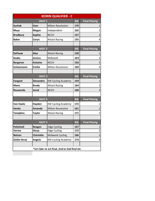| <b>KEIRIN QUALIFIER - C</b>                   |                  |                           |            |                      |  |
|-----------------------------------------------|------------------|---------------------------|------------|----------------------|--|
|                                               | <b>Bib</b>       | <b>Final Placing</b>      |            |                      |  |
| <b>Suchak</b>                                 | <b>Veer</b>      | <b>Milton Revolution</b>  | 170        | 1                    |  |
| <b>Muys</b>                                   | <b>Megan</b>     | Independent               | 165        | 2                    |  |
| <b>Bradbury</b>                               | <b>Sophie</b>    | <b>NCCH</b>               | 157        | 3                    |  |
| <b>Baker</b>                                  | Coryn            | <b>Attack Racing</b>      | 155        | 4                    |  |
|                                               |                  |                           |            |                      |  |
|                                               | <b>HEAT 2</b>    |                           | <b>Bib</b> | <b>Final Placing</b> |  |
| <b>DePauw</b>                                 | <b>Alex</b>      | <b>Attack Racing</b>      | 158        | 1                    |  |
| <b>Kaake</b>                                  | <b>Jessica</b>   | Midweek                   | 163        | 2                    |  |
| <b>Bergeron</b>                               | <b>Antoine</b>   | <b>NCCH</b>               | 156        | 3                    |  |
| Schatzmann                                    | <b>Emilie</b>    | <b>Milton Revolution</b>  | 169        | 4                    |  |
|                                               |                  |                           |            |                      |  |
|                                               | <b>HEAT3</b>     |                           | <b>Bib</b> | <b>Final Placing</b> |  |
| <b>Fangeat</b>                                | Alexandra        | <b>KW Cycling Academy</b> | 159        | 1                    |  |
| Mann                                          | <b>Brody</b>     | <b>Attack Racing</b>      | 164        | 2                    |  |
| Rauwerda                                      | <b>Jared</b>     | <b>NCCH</b>               | 168        | 3                    |  |
|                                               |                  |                           |            |                      |  |
|                                               | <b>HEAT4</b>     |                           | <b>Bib</b> | <b>Final Placing</b> |  |
| <b>Van Daele</b>                              | Hayden           | <b>KW Cycling Academy</b> | 172        | 1                    |  |
| <b>Henke</b>                                  | <b>Amanda</b>    | <b>Milton Revolution</b>  | 161        | 2                    |  |
| <b>Tompkins</b>                               | <b>Taylor</b>    | <b>Attack Racing</b>      | 171        | 3                    |  |
|                                               |                  |                           |            |                      |  |
|                                               | <b>HEAT 5</b>    |                           | <b>Bib</b> | <b>Final Placing</b> |  |
| <b>Pattishall</b>                             | Reagen           | <b>Edge Cycling</b>       | 167        | $\mathbf 1$          |  |
| Verma                                         | Divya            | <b>Edge Cycling</b>       | 173        | $\overline{2}$       |  |
| <b>Nelson</b>                                 | <b>Charlotte</b> | Midweek Cycling           | 166        | 3                    |  |
| Zielke-Stray                                  | Angela           | <b>KW Cycling Academy</b> | 174        | 4                    |  |
|                                               |                  |                           |            |                      |  |
| *1st rider to 1st final, 2nd to 2nd final etc |                  |                           |            |                      |  |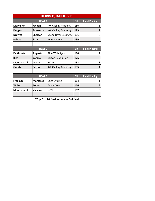| <b>KEIRIN QUALIFIER - D</b>              |                 |                           |            |                      |  |  |
|------------------------------------------|-----------------|---------------------------|------------|----------------------|--|--|
|                                          | <b>HEAT1</b>    |                           | <b>Bib</b> | <b>Final Placing</b> |  |  |
| <b>McMullen</b>                          | Jayden          | <b>KW Cycling Academy</b> | 186        | 1                    |  |  |
| <b>Fangeat</b>                           | <b>Samantha</b> | <b>KW Cycling Academy</b> | 183        | 2                    |  |  |
| <b>Drewitt</b>                           | <b>Sheldon</b>  | Speed River Cycling Clu   | 181        | 3                    |  |  |
| <b>Reinke</b>                            | <b>Sara</b>     | Independent               | 189        | 4                    |  |  |
|                                          |                 |                           |            |                      |  |  |
|                                          | <b>HEAT 2</b>   |                           | <b>Bib</b> | <b>Final Placing</b> |  |  |
| De Groote                                | <b>Augustus</b> | Ride With Ryan            | 180        | 1                    |  |  |
| <b>Rico</b>                              | Camila          | <b>Milton Revolution</b>  | 175        | $\overline{2}$       |  |  |
| <b>Montrichard</b>                       | <b>Maria</b>    | <b>NCCH</b>               | 188        | 3                    |  |  |
| Goertz                                   | <b>Sagan</b>    | <b>KW Cycling Academy</b> | 185        | 4                    |  |  |
|                                          |                 |                           |            |                      |  |  |
|                                          | <b>HEAT3</b>    |                           | <b>Bib</b> | <b>Final Placing</b> |  |  |
| Freeman                                  | <b>Margaret</b> | <b>Edge Cycling</b>       | 184        | 1                    |  |  |
| White                                    | <b>Escher</b>   | <b>Team Attack</b>        | 176        | 2                    |  |  |
| <b>Montrichard</b>                       | Vanessa         | <b>NCCH</b>               | 187        | 3                    |  |  |
|                                          |                 |                           |            |                      |  |  |
| *Top 2 to 1st final, others to 2nd final |                 |                           |            |                      |  |  |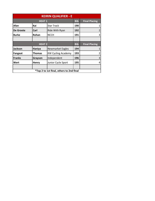| <b>KEIRIN QUALIFIER - E</b>              |               |                           |            |                      |  |  |
|------------------------------------------|---------------|---------------------------|------------|----------------------|--|--|
|                                          | <b>HEAT 1</b> |                           | <b>Bib</b> | <b>Final Placing</b> |  |  |
| Afan                                     | Kai           | <b>Star Track</b>         | 190        |                      |  |  |
| De Groote                                | Carl          | Ride With Ryan            | 192        | 2                    |  |  |
| <b>Burke</b>                             | Rohan         | <b>NCCH</b>               | 191        | 3                    |  |  |
|                                          |               |                           |            |                      |  |  |
|                                          | <b>HEAT 2</b> |                           | <b>Bib</b> | <b>Final Placing</b> |  |  |
| <b>Jackson</b>                           | Haniya        | <b>Newmarket Eagles</b>   | 194        |                      |  |  |
| <b>Fangeat</b>                           | <b>Thomas</b> | <b>KW Cycling Academy</b> | 193        | 2                    |  |  |
| <b>Franks</b>                            | Grayson       | Independent               | 196        | 3                    |  |  |
| Wert                                     | <b>Henry</b>  | Junior Cycle Sport        | 195        | 4                    |  |  |
|                                          |               |                           |            |                      |  |  |
| *Top 2 to 1st final, others to 2nd final |               |                           |            |                      |  |  |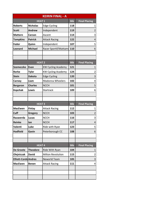| <b>KEIRIN FINAL - A</b>     |                 |                           |            |                      |  |  |
|-----------------------------|-----------------|---------------------------|------------|----------------------|--|--|
|                             | <b>HEAT1</b>    |                           | <b>Bib</b> | <b>Final Placing</b> |  |  |
| <b>Roberts</b>              | <b>Nicholas</b> | <b>Edge Cycling</b>       | 118        | 1                    |  |  |
| <b>Scott</b>                | <b>Andrew</b>   | Independent               | 119        | $\overline{2}$       |  |  |
| <b>Mattern</b>              | Carson          | Ascent                    | 114        | 3                    |  |  |
| <b>Tompkins</b>             | <b>Patrick</b>  | <b>Attack Racing</b>      | 122        | 4                    |  |  |
| Fedor                       | Quinn           | Independent               | 107        | 5                    |  |  |
| Leonard                     | <b>Michael</b>  | Racer Sportif/Mattamy     | 110        | 6                    |  |  |
|                             |                 |                           |            |                      |  |  |
|                             |                 |                           |            |                      |  |  |
|                             | <b>HEAT 2</b>   |                           | <b>Bib</b> | <b>Final Placing</b> |  |  |
| <b>Szemeczko</b>            | Evan            | <b>KW Cycling Academy</b> | 121        | 1                    |  |  |
| <b>Rorke</b>                | <b>Tyler</b>    | <b>KW Cycling Academy</b> | 124        | 2                    |  |  |
| <b>Stein</b>                | <b>Dakota</b>   | <b>Edge Cycling</b>       | 120        | 3                    |  |  |
| Carney                      | Liam            | <b>Madonna Wheelers</b>   | 102        | 4                    |  |  |
| <b>Bergeron</b>             | <b>Charles</b>  | <b>NCCH</b>               | 101        | 5                    |  |  |
| <b>Kopchak</b>              | <b>Lewis</b>    | Startrack                 | 109        | 6                    |  |  |
|                             |                 |                           |            |                      |  |  |
|                             |                 |                           |            |                      |  |  |
|                             | <b>HEAT 3</b>   |                           | <b>Bib</b> | <b>Final Placing</b> |  |  |
| <b>MacEwen</b>              | <b>Finlay</b>   | <b>Attack Racing</b>      | 112        | 1                    |  |  |
| Cuff                        | <b>Gregory</b>  | <b>NCCH</b>               | 103        | $\overline{2}$       |  |  |
| Rauwerda                    | Lucas           | <b>NCCH</b>               | 116        | 3                    |  |  |
| <b>Reinke</b>               | lan             | <b>NCCH</b>               | 117        | 4                    |  |  |
| Valenti                     | Luke            | Ride with Ryan            | 123        | 5                    |  |  |
| <b>Hadfield</b>             | Gavin           | Peterborough CC           | 108        | 6                    |  |  |
|                             |                 |                           |            |                      |  |  |
|                             |                 |                           |            |                      |  |  |
|                             | <b>HEAT4</b>    |                           | <b>Bib</b> | <b>Final Placing</b> |  |  |
| De Groote                   | <b>Theodore</b> | Ride With Ryan            | 104        | 1                    |  |  |
| Olejniczak                  | <b>David</b>    | <b>Milton Revolution</b>  | 115        | 2                    |  |  |
| <b>Elliott-Cordd Andres</b> |                 | Neworld Team              | 105        | 3                    |  |  |
| <b>MacEwen</b>              | <b>Benen</b>    | <b>Attack Racing</b>      | 111        | 4                    |  |  |
|                             |                 |                           |            |                      |  |  |
|                             |                 |                           |            |                      |  |  |
|                             |                 |                           |            |                      |  |  |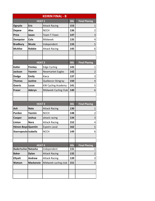| <b>KEIRIN FINAL - B</b>    |                  |                           |            |                         |  |  |
|----------------------------|------------------|---------------------------|------------|-------------------------|--|--|
|                            | <b>HEAT1</b>     |                           | <b>Bib</b> | <b>Final Placing</b>    |  |  |
| Ogryzlo                    | <b>Eric</b>      | <b>Attack Racing</b>      | 153        | 1                       |  |  |
| <b>Depew</b>               | <b>Alex</b>      | <b>NCCH</b>               | 136        | 2                       |  |  |
| <b>Price</b>               | Jason            | <b>Team T-Town</b>        | 147        | 3                       |  |  |
| Dempster                   | Cole             | Midweek                   | 135        | 4                       |  |  |
| <b>Bradbury</b>            | <b>Nicole</b>    | Independent               | 133        | 5                       |  |  |
| <b>McAfee</b>              | <b>Robbie</b>    | <b>Attack Racing</b>      | 145        | 6                       |  |  |
|                            |                  |                           |            |                         |  |  |
|                            |                  |                           |            |                         |  |  |
|                            | <b>HEAT 2</b>    |                           | <b>Bib</b> | <b>Final Placing</b>    |  |  |
| <b>Koller</b>              | <b>Finnley</b>   | <b>Edge Cycling</b>       | 143        | 1                       |  |  |
| <b>Jackson</b>             | Yasmin           | <b>Newmarket Eagles</b>   | 142        | $\overline{2}$          |  |  |
| <b>Dodge</b>               | <b>Emily</b>     | Kwca                      | 137        | 3                       |  |  |
| <b>Thomas</b>              | <b>Justine</b>   | Québecor-Stingray         | 150        | 4                       |  |  |
| Goertz                     | <b>Lucas</b>     | <b>KW Cycling Academy</b> | 141        | 5                       |  |  |
| <b>Fraser</b>              | Aderyn           | Midweek Cycling Club      | 140        | 6                       |  |  |
|                            |                  |                           |            |                         |  |  |
|                            |                  |                           |            |                         |  |  |
|                            | <b>HEAT 3</b>    |                           | <b>Bib</b> | <b>Final Placing</b>    |  |  |
| Ash                        | <b>Nate</b>      | <b>Attack Racing</b>      | 130        | 1                       |  |  |
| Purdon                     | Yazmin           | <b>NCCH</b>               | 148        | 2                       |  |  |
| Cooper                     | Joshua           | attack racing             | 134        | 3                       |  |  |
| Linton                     | <b>Nora</b>      | <b>Attack Racing</b>      | 152        | 4                       |  |  |
| Hénon-Boye Quentin         |                  | <b>Espoirs Laval</b>      | 162        | $\overline{\mathbf{5}}$ |  |  |
| Stavropoulo Isabella       |                  | <b>NCCH</b>               | 149        | 6                       |  |  |
|                            |                  |                           |            |                         |  |  |
|                            |                  |                           |            |                         |  |  |
|                            | <b>HEAT4</b>     |                           | <b>Bib</b> | <b>Final Placing</b>    |  |  |
| <b>Badertscher Natasha</b> |                  | Independent               | 131        | 1                       |  |  |
| <b>Baker</b>               | <b>Dylan</b>     | <b>Attack Racing</b>      | 132        | 2                       |  |  |
| <b>Ellyatt</b>             | <b>Andrew</b>    | <b>Attack Racing</b>      | 139        | 3                       |  |  |
| <b>Watson</b>              | <b>Mackenzie</b> | Midweek cycling club      | 151        | 4                       |  |  |
|                            |                  |                           |            |                         |  |  |
|                            |                  |                           |            |                         |  |  |
|                            |                  |                           |            |                         |  |  |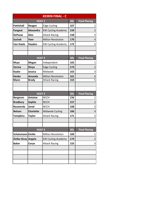|                     |                  | <b>KEIRIN FINAL - C</b>   |            |                      |
|---------------------|------------------|---------------------------|------------|----------------------|
|                     | <b>HEAT1</b>     |                           | <b>Bib</b> | <b>Final Placing</b> |
| <b>Pattishall</b>   | Reagen           | <b>Edge Cycling</b>       | 167        | 1                    |
| <b>Fangeat</b>      | <b>Alexandra</b> | <b>KW Cycling Academy</b> | 159        | $\overline{2}$       |
| <b>DePauw</b>       | <b>Alex</b>      | <b>Attack Racing</b>      | 158        | 3                    |
| <b>Suchak</b>       | Veer             | <b>Milton Revolution</b>  | 170        | 4                    |
| <b>Van Daele</b>    | Hayden           | <b>KW Cycling Academy</b> | 172        | 5                    |
|                     |                  |                           |            |                      |
|                     |                  |                           |            |                      |
|                     | <b>HEAT 2</b>    |                           | <b>Bib</b> | <b>Final Placing</b> |
| <b>Muys</b>         | <b>Megan</b>     | Independent               | 165        | 1                    |
| Verma               | <b>Divya</b>     | <b>Edge Cycling</b>       | 173        | 2                    |
| <b>Kaake</b>        | <b>Jessica</b>   | Midweek                   | 163        | 3                    |
| <b>Henke</b>        | Amanda           | <b>Milton Revolution</b>  | 161        | 4                    |
| Mann                | <b>Brody</b>     | <b>Attack Racing</b>      | 164        | 5                    |
|                     |                  |                           |            |                      |
|                     |                  |                           |            |                      |
|                     | <b>HEAT3</b>     |                           | <b>Bib</b> | <b>Final Placing</b> |
| <b>Bergeron</b>     | <b>Antoine</b>   | <b>NCCH</b>               | 156        | 1                    |
| <b>Bradbury</b>     | <b>Sophie</b>    | <b>NCCH</b>               | 157        | 2                    |
| Rauwerda            | <b>Jared</b>     | <b>NCCH</b>               | 168        | 3                    |
| <b>Nelson</b>       | <b>Charlotte</b> | <b>Midweek Cycling</b>    | 166        | 4                    |
| <b>Tompkins</b>     | <b>Taylor</b>    | <b>Attack Racing</b>      | 171        | 5                    |
|                     |                  |                           |            |                      |
|                     |                  |                           |            |                      |
|                     | <b>HEAT4</b>     |                           | <b>Bib</b> | <b>Final Placing</b> |
| Schatzmann Emilie   |                  | <b>Milton Revolution</b>  | 169        | 1                    |
| Zielke-Stray Angela |                  | <b>KW Cycling Academy</b> | 174        | $\overline{c}$       |
| <b>Baker</b>        | Coryn            | <b>Attack Racing</b>      | 155        | 3                    |
|                     |                  |                           |            |                      |
|                     |                  |                           |            |                      |
|                     |                  |                           |            |                      |
|                     |                  |                           |            |                      |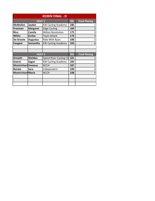|                            | <b>KEIRIN FINAL - D</b> |                           |            |                      |  |  |  |  |  |  |  |
|----------------------------|-------------------------|---------------------------|------------|----------------------|--|--|--|--|--|--|--|
|                            | <b>HEAT 1</b>           |                           | <b>Bib</b> | <b>Final Placing</b> |  |  |  |  |  |  |  |
| <b>McMullen</b>            | Jayden                  | <b>KW Cycling Academy</b> | 186        |                      |  |  |  |  |  |  |  |
| Freeman                    | <b>Margaret</b>         | <b>Edge Cycling</b>       | 184        |                      |  |  |  |  |  |  |  |
| <b>Rico</b>                | Camila                  | <b>Milton Revolution</b>  | 175        | 3                    |  |  |  |  |  |  |  |
| White                      | <b>Escher</b>           | <b>Team Attack</b>        | 176        | 4                    |  |  |  |  |  |  |  |
| De Groote                  | <b>Augustus</b>         | Ride With Ryan            | 180        | 5                    |  |  |  |  |  |  |  |
| <b>Fangeat</b>             | Samantha                | <b>KW Cycling Academy</b> | 183        | 6                    |  |  |  |  |  |  |  |
|                            |                         |                           |            |                      |  |  |  |  |  |  |  |
|                            |                         |                           |            |                      |  |  |  |  |  |  |  |
|                            | <b>HEAT 2</b>           |                           | <b>Bib</b> | <b>Final Placing</b> |  |  |  |  |  |  |  |
| <b>Drewitt</b>             | <b>Sheldon</b>          | Speed River Cycling Clu   | 181        |                      |  |  |  |  |  |  |  |
| Goertz                     | Sagan                   | <b>KW Cycling Academy</b> | 185        | 2                    |  |  |  |  |  |  |  |
| <b>Montrichard Vanessa</b> |                         | <b>NCCH</b>               | 187        | 3                    |  |  |  |  |  |  |  |
| Reinke                     | <b>Sara</b>             | Independent               | 189        | 4                    |  |  |  |  |  |  |  |
| <b>Montrichard Maria</b>   |                         | <b>NCCH</b>               | 188        | 5                    |  |  |  |  |  |  |  |
|                            |                         |                           |            |                      |  |  |  |  |  |  |  |
|                            |                         |                           |            |                      |  |  |  |  |  |  |  |
|                            |                         |                           |            |                      |  |  |  |  |  |  |  |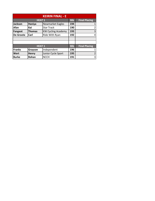|                  | <b>KEIRIN FINAL - E</b> |                           |            |                      |  |  |  |  |  |  |
|------------------|-------------------------|---------------------------|------------|----------------------|--|--|--|--|--|--|
|                  | <b>HEAT 1</b>           |                           | <b>Bib</b> | <b>Final Placing</b> |  |  |  |  |  |  |
| <b>Jackson</b>   | Haniya                  | <b>Newmarket Eagles</b>   | 194        |                      |  |  |  |  |  |  |
| Afan             | Kai                     | <b>Star Track</b>         | 190        | 2                    |  |  |  |  |  |  |
| <b>Fangeat</b>   | Thomas                  | <b>KW Cycling Academy</b> | 193        | 3                    |  |  |  |  |  |  |
| <b>De Groote</b> | Carl                    | Ride With Ryan            | 192        | 4                    |  |  |  |  |  |  |
|                  |                         |                           |            |                      |  |  |  |  |  |  |
|                  |                         |                           |            |                      |  |  |  |  |  |  |
|                  | <b>HEAT 1</b>           |                           | <b>Bib</b> | <b>Final Placing</b> |  |  |  |  |  |  |
| Franks           | Grayson                 | Independent               | 196        |                      |  |  |  |  |  |  |
| Wert             | <b>Henry</b>            | Junior Cycle Sport        | 195        | 2                    |  |  |  |  |  |  |
| <b>Burke</b>     | Rohan                   | <b>NCCH</b>               | 191        | 3                    |  |  |  |  |  |  |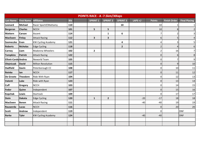|                             | POINTS RACE - A -7.5km/30laps |                           |            |  |                 |                 |                 |            |                |                     |                      |
|-----------------------------|-------------------------------|---------------------------|------------|--|-----------------|-----------------|-----------------|------------|----------------|---------------------|----------------------|
| Last Name                   | <b>First Name</b>             | <b>Affiliates</b>         | <b>Bib</b> |  | <b>SPRINT 1</b> | <b>SPRINT 2</b> | <b>SPRINT 3</b> | LAPS $+/-$ | <b>Points</b>  | <b>Finish Order</b> | <b>Final Placing</b> |
| Leonard                     | Michael                       | Racer Sportif/Mattamy     | 110        |  |                 |                 | 10              |            | 10             |                     | $\mathbf{1}$         |
| <b>Bergeron</b>             | <b>Charles</b>                | <b>NCCH</b>               | 101        |  | 5               | 5               |                 |            | 10             |                     | $\overline{2}$       |
| <b>Mattern</b>              | <b>Carson</b>                 | Ascent                    | 114        |  |                 | $\mathbf{1}$    | 6               |            |                |                     | 3                    |
| <b>MacEwen</b>              | Finlay                        | <b>Attack Racing</b>      | 112        |  | 3               | 3               |                 |            | 6 <sup>1</sup> |                     | $\overline{a}$       |
| <b>Szemeczko</b>            | Evan                          | <b>KW Cycling Academy</b> | 121        |  |                 |                 | 4               |            | Δ              |                     | 5                    |
| <b>Roberts</b>              | <b>Nicholas</b>               | Edge Cycling              | 118        |  |                 |                 | $\mathbf{2}$    |            |                |                     | $\boldsymbol{6}$     |
| <b>Carney</b>               | Liam                          | <b>Madonna Wheelers</b>   | 102        |  | $\overline{2}$  |                 |                 |            |                | 16                  | $\overline{7}$       |
| <b>Tompkins</b>             | <b>Patrick</b>                | <b>Attack Racing</b>      | 122        |  |                 |                 |                 |            | 0              | 6                   | $\,8\,$              |
| <b>Elliott-Cordo Andres</b> |                               | Neworld Team              | 105        |  |                 |                 |                 |            | 0              |                     | 9                    |
| Olejniczak                  | <b>David</b>                  | Milton Revolution         | 115        |  |                 |                 |                 |            | $\overline{0}$ | 9                   | 10                   |
| <b>Hadfield</b>             | Gavin                         | Peterborough CC           | 108        |  |                 |                 |                 |            | 0              | 10                  | $11\,$               |
| Reinke                      | lan                           | <b>NCCH</b>               | 117        |  |                 |                 |                 |            | $\overline{0}$ | 11                  | 12                   |
| De Groote                   | <b>Theodore</b>               | Ride With Ryan            | 104        |  |                 |                 |                 |            | 0              | 12                  | 13                   |
| Valenti                     | Luke                          | Ride with Ryan            | 123        |  |                 |                 |                 |            | $\overline{0}$ | 13                  | 14                   |
| Cuff                        | Gregory                       | <b>NCCH</b>               | 103        |  |                 |                 |                 |            | 0              | 14                  | 15                   |
| Fedor                       | Quinn                         | Independent               | 107        |  |                 |                 |                 |            | $\mathbf 0$    | 15                  | 16                   |
| <b>Kopchak</b>              | <b>Lewis</b>                  | <b>Startrack</b>          | 109        |  |                 |                 |                 |            | 0              | 17                  | 17                   |
| <b>Stein</b>                | <b>Dakota</b>                 | Edge Cycling              | 120        |  | $\mathbf{1}$    | $\overline{2}$  |                 | $-20$      | $-17$          | 18                  | 18                   |
| <b>MacEwen</b>              | Benen                         | <b>Attack Racing</b>      | 111        |  |                 |                 |                 | $-40$      | $-40$          | 19                  | 19                   |
| Rauwerda                    | Lucas                         | <b>NCCH</b>               | 116        |  |                 |                 |                 |            | $\mathbf 0$    | 20                  | 20                   |
| <b>Scott</b>                | <b>Andrew</b>                 | Independent               | 119        |  |                 |                 |                 |            | 0              |                     | <b>DNF</b>           |
| <b>Rorke</b>                | <b>Tyler</b>                  | <b>KW Cycling Academy</b> | 124        |  |                 |                 |                 | $-40$      | $-40$          |                     | <b>DNF</b>           |
|                             |                               |                           |            |  |                 |                 |                 |            |                |                     |                      |
|                             |                               |                           |            |  |                 |                 |                 |            |                |                     |                      |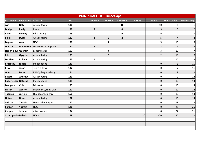|                            | <b>POINTS RACE - B - 6km/24laps</b> |                           |            |  |                         |                 |                  |            |                |                     |                      |
|----------------------------|-------------------------------------|---------------------------|------------|--|-------------------------|-----------------|------------------|------------|----------------|---------------------|----------------------|
| Last Name                  | <b>First Name</b>                   | <b>Affiliates</b>         | <b>Bib</b> |  | <b>SPRINT 1</b>         | <b>SPRINT 2</b> | <b>SPRINT 3</b>  | LAPS $+/-$ | <b>Points</b>  | <b>Finish Order</b> | <b>Final Placing</b> |
| Ash                        | <b>Nate</b>                         | <b>Attack Racing</b>      | 130        |  |                         |                 | 10               |            | 10             |                     | $\mathbf{1}$         |
| <b>Dodge</b>               | Emily                               | Kwca                      | 137        |  | 5                       |                 | 4                |            | 9              |                     | $\mathbf 2$          |
| <b>Koller</b>              | Finnley                             | <b>Edge Cycling</b>       | 143        |  |                         |                 | $\boldsymbol{6}$ |            | 6              |                     | 3                    |
| <b>Baker</b>               | <b>Dylan</b>                        | <b>Attack Racing</b>      | 132        |  | $\overline{2}$          | $\mathbf{1}$    | $\overline{2}$   |            |                |                     | $\overline{4}$       |
| <b>Depew</b>               | <b>Alex</b>                         | <b>NCCH</b>               | 136        |  |                         | 5               |                  |            |                | 10                  | 5                    |
| Watson                     | Mackenzie                           | Midweek cycling club      | 151        |  | $\overline{\mathbf{3}}$ |                 |                  |            |                |                     | 6                    |
| Hénon-Boye Quentin         |                                     | <b>Espoirs Laval</b>      | 162        |  |                         | 3               |                  |            |                | 10                  | $\overline{7}$       |
| <b>Eric</b>                | Ogryzlo                             | <b>Attack Racing</b>      | 153        |  |                         | $\mathbf{2}$    |                  |            |                | 19                  | 8                    |
| <b>McAfee</b>              | <b>Robbie</b>                       | <b>Attack Racing</b>      | 145        |  | $\mathbf{1}$            |                 |                  |            |                | 10                  | 9                    |
| <b>Bradbury</b>            | Nicole                              | Independent               | 133        |  |                         |                 |                  |            | $\mathbf 0$    | 6                   | 10                   |
| <b>Price</b>               | Jason                               | Team T-Town               | 147        |  |                         |                 |                  |            | 0              |                     | $11\,$               |
| Goertz                     | Lucas                               | <b>KW Cycling Academy</b> | 141        |  |                         |                 |                  |            | $\Omega$       | 8                   | 12                   |
| <b>Ellyatt</b>             | <b>Andrew</b>                       | <b>Attack Racing</b>      | 139        |  |                         |                 |                  |            | 0              | 9                   | 13                   |
| <b>Badertscher Natasha</b> |                                     | Independent               | 131        |  |                         |                 |                  |            | $\overline{0}$ | 10                  | 14                   |
| <b>Dempster</b>            | <b>Cole</b>                         | Midweek                   | 135        |  |                         |                 |                  |            | $\overline{0}$ | 10                  | 14                   |
| Fraser                     | Aderyn                              | Midweek Cycling Club      | 140        |  |                         |                 |                  |            | $\overline{0}$ | 10                  | 14                   |
| <b>Thomas</b>              | Justine                             | Québecor-Stingray         | 150        |  |                         |                 |                  |            | $\overline{0}$ | 10                  | 14                   |
| Linton                     | Nora                                | <b>Attack Racing</b>      | 152        |  |                         |                 |                  |            | $\overline{0}$ | 10                  | 14                   |
| <b>Jackson</b>             | Yasmin                              | Newmarket Eagles          | 142        |  |                         |                 |                  |            | $\overline{0}$ | 18                  | 19                   |
| Purdon                     | Yazmin                              | <b>NCCH</b>               | 148        |  |                         |                 |                  |            | $\overline{0}$ | 21                  | $20\,$               |
| Cooper                     | Joshua                              | attack racing             | 134        |  |                         |                 |                  |            | 0              | 22                  | 21                   |
| Stavropoulo Isabella       |                                     | <b>NCCH</b>               | 149        |  |                         |                 |                  | $-20$      | $-20$          | 20                  | 22                   |
|                            |                                     |                           |            |  |                         |                 |                  |            |                |                     |                      |
|                            |                                     |                           |            |  |                         |                 |                  |            |                |                     |                      |
|                            |                                     |                           |            |  |                         |                 |                  |            |                |                     |                      |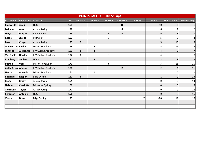|                     | <b>POINTS RACE - C - 5km/20laps</b> |                           |            |                 |                         |                 |                         |            |                |                     |                      |
|---------------------|-------------------------------------|---------------------------|------------|-----------------|-------------------------|-----------------|-------------------------|------------|----------------|---------------------|----------------------|
| <b>Last Name</b>    | <b>First Name</b>                   | <b>Affiliates</b>         | <b>Bib</b> | <b>SPRINT 1</b> | <b>SPRINT 2</b>         | <b>SPRINT 3</b> | <b>SPRINT 4</b>         | LAPS $+/-$ | <b>Points</b>  | <b>Finish Order</b> | <b>Final Placing</b> |
| Rauwerda            | <b>Jared</b>                        | <b>NCCH</b>               | 168        |                 |                         |                 | 10                      |            | 10             |                     | $\mathbf{1}$         |
| <b>DePauw</b>       | <b>Alex</b>                         | <b>Attack Racing</b>      | 158        |                 |                         |                 | 6                       |            | 6              | 2                   | $\overline{2}$       |
| <b>Muys</b>         | <b>Megan</b>                        | Independent               | 165        |                 |                         | $\overline{2}$  | 4                       |            | 6              | 3                   | 3                    |
| <b>Kaake</b>        | Jessica                             | Midweek                   | 163        |                 |                         | 5               |                         |            | 5              | 9                   | 4                    |
| <b>Baker</b>        | <b>Coryn</b>                        | <b>Attack Racing</b>      | 155        | 5               |                         |                 |                         |            | 5              | 15                  | 5                    |
| Schatzmann Emilie   |                                     | Milton Revolution         | 169        |                 | 5                       |                 |                         |            | 5              | 16                  | 6                    |
| Fangeat             | Alexandra                           | <b>KW Cycling Academy</b> | 159        | $\overline{2}$  | $\overline{\mathbf{2}}$ |                 |                         |            | 4              |                     | $\overline{7}$       |
| <b>Van Daele</b>    | Hayden                              | <b>KW Cycling Academy</b> | 172        | 3               |                         | 1               |                         |            | $\overline{4}$ | 9                   | 8                    |
| <b>Bradbury</b>     | Sophie                              | <b>NCCH</b>               | 157        |                 | 3                       |                 |                         |            | 3              | 9 <sub>l</sub>      | $\mathsf 9$          |
| <b>Suchak</b>       | <b>Veer</b>                         | <b>Milton Revolution</b>  | 170        |                 |                         | 3               |                         |            | 3              | 18                  | 10                   |
| Zielke-Stray Angela |                                     | <b>KW Cycling Academy</b> | 174        |                 |                         |                 | $\overline{\mathbf{2}}$ |            | $\overline{2}$ | 4                   | $11\,$               |
| <b>Henke</b>        | Amanda                              | Milton Revolution         | 161        |                 | $\mathbf{1}$            |                 |                         |            | $\mathbf{1}$   | 5                   | 12                   |
| Pattishall          | Reagen                              | <b>Edge Cycling</b>       | 167        | $\mathbf{1}$    |                         |                 |                         |            |                | 9                   | 13                   |
| <b>Mann</b>         | <b>Brody</b>                        | <b>Attack Racing</b>      | 164        |                 |                         |                 |                         |            | 0              | $6\vert$            | 14                   |
| <b>Nelson</b>       | <b>Charlotte</b>                    | Midweek Cycling           | 166        |                 |                         |                 |                         |            | $\mathbf 0$    | 8                   | 15                   |
| <b>Tompkins</b>     | <b>Taylor</b>                       | <b>Attack Racing</b>      | 171        |                 |                         |                 |                         |            | 0              | 9                   | 16                   |
| <b>Bergeron</b>     | <b>Antoine</b>                      | <b>NCCH</b>               | 156        |                 |                         |                 |                         |            | $\Omega$       | 9                   | 16                   |
| Verma               | Divya                               | <b>Edge Cycling</b>       | 173        |                 |                         |                 |                         | $-20$      | $-20$          | 17                  | 18                   |
|                     |                                     |                           |            |                 |                         |                 |                         |            |                |                     |                      |
|                     |                                     |                           |            |                 |                         |                 |                         |            |                |                     |                      |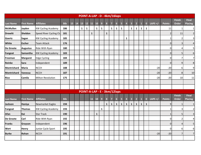|                  |                   |                           |            |    |    | POINT-A-LAP - D - 4km/16laps |              |             |              |                |                |                |                |                         |                         |                         |                |              |              |            |                |                               |                                |
|------------------|-------------------|---------------------------|------------|----|----|------------------------------|--------------|-------------|--------------|----------------|----------------|----------------|----------------|-------------------------|-------------------------|-------------------------|----------------|--------------|--------------|------------|----------------|-------------------------------|--------------------------------|
| <b>Last Name</b> | <b>First Name</b> | <b>Affiliates</b>         | <b>Bib</b> | 15 | 14 | 13                           | 12           | 11          | <b>10</b>    | 9              | $8\phantom{.}$ | $\overline{7}$ | $6\phantom{.}$ | $\overline{\mathbf{5}}$ | $\overline{\mathbf{4}}$ | $\overline{\mathbf{3}}$ | $\overline{2}$ | -1           | $\mathbf{0}$ | LAPS $+/-$ | <b>Points</b>  | <b>Finish</b><br><b>Order</b> | <b>Final</b><br><b>Placing</b> |
| <b>McMullen</b>  | Jayden            | <b>KW Cycling Academy</b> | 186        |    |    | $\mathbf{1}$                 | $\mathbf{1}$ |             | $\mathbf{1}$ | $\mathbf{1}$   |                | $\mathbf{1}$   | 1              | $\mathbf{1}$            |                         | $\mathbf{1}$            | $\mathbf{1}$   | 1            | $\mathbf{1}$ |            | 11             | $\overline{\mathbf{1}}$       | $\mathbf{1}$                   |
| <b>Drewitt</b>   | Sheldon           | Speed River Cycling Clu   | 181        |    |    |                              |              | $\mathbf 1$ |              |                | $\mathbf{1}$   |                |                |                         |                         |                         |                |              |              |            |                | 11                            | $\mathbf 2$                    |
| <b>Goertz</b>    | Sagan             | <b>KW Cycling Academy</b> | 185        |    |    |                              |              |             |              |                |                |                |                |                         | 1                       |                         |                |              |              |            |                |                               | 3                              |
| <b>White</b>     | <b>Escher</b>     | <b>Team Attack</b>        | 176        |    |    |                              |              |             |              |                |                |                |                |                         |                         |                         |                |              |              |            | 0              | З                             | $\sqrt{4}$                     |
| De Groote        | <b>Augustus</b>   | Ride With Ryan            | 180        |    |    |                              |              |             |              |                |                |                |                |                         |                         |                         |                |              |              |            | 0l             | 4                             | 5                              |
| <b>Fangeat</b>   | Samantha          | <b>KW Cycling Academy</b> | 183        |    |    |                              |              |             |              |                |                |                |                |                         |                         |                         |                |              |              |            | $\overline{0}$ | 5                             | 6                              |
| Freeman          | <b>Margaret</b>   | <b>Edge Cycling</b>       | 184        |    |    |                              |              |             |              |                |                |                |                |                         |                         |                         |                |              |              |            | 0              |                               | $\overline{7}$                 |
| Reinke           | Sara              | Independent               | 189        |    |    |                              |              |             |              |                |                |                |                |                         |                         |                         |                |              |              |            | $\Omega$       | 9                             | $\,8\,$                        |
| Montrichard      | <b>Maria</b>      | <b>NCCH</b>               | 188        |    |    |                              |              |             |              |                |                |                |                |                         |                         |                         |                |              |              | $-20$      | $-20$          | 6                             | $\mathsf g$                    |
| Montrichard      | Vanessa           | <b>NCCH</b>               | 187        |    |    |                              |              |             |              |                |                |                |                |                         |                         |                         |                |              |              | $-20$      | $-20$          | $\,8\,$                       | 10                             |
| <b>Rico</b>      | Camila            | Milton Revolution         | 175        |    |    |                              |              |             |              |                |                |                |                |                         |                         |                         |                |              |              | $-20$      | $-20$          | 10                            | $11\,$                         |
|                  |                   |                           |            |    |    |                              |              |             |              |                |                |                |                |                         |                         |                         |                |              |              |            |                |                               |                                |
|                  |                   |                           |            |    |    |                              |              |             |              |                |                |                |                |                         |                         |                         |                |              |              |            |                |                               |                                |
|                  |                   |                           |            |    |    | POINT-A-LAP - E - 3km/12laps |              |             |              |                |                |                |                |                         |                         |                         |                |              |              |            |                |                               |                                |
| <b>Last Name</b> | <b>First Name</b> | <b>Affiliates</b>         | <b>Bib</b> |    |    |                              |              | 11          | <b>10</b>    | $\overline{9}$ | $8\phantom{1}$ | $\overline{ }$ | 6 <sup>1</sup> | $\overline{\mathbf{5}}$ | $\overline{4}$          | $\overline{\mathbf{3}}$ | 2 <sup>2</sup> | 1            | $\mathbf{0}$ | LAPS $+/-$ | <b>Points</b>  | <b>Finish</b><br><b>Order</b> | <b>Final</b><br><b>Placing</b> |
| Jackson          | Haniya            | Newmarket Eagles          | 194        |    |    |                              |              |             |              |                | $\mathbf{1}$   | $\mathbf{1}$   | $\mathbf{1}$   | $\mathbf{1}$            | $\mathbf{1}$            | $\mathbf{1}$            | $\mathbf{1}$   | $\mathbf{1}$ | 1            |            | 9 <sub>l</sub> |                               | $\mathbf{1}$                   |
| Fangeat          | <b>Thomas</b>     | <b>KW Cycling Academy</b> | 193        |    |    |                              |              |             |              | $\mathbf{1}$   |                |                |                |                         |                         |                         |                |              |              |            |                |                               | $\overline{2}$                 |
| Afan             | Kai               | <b>Star Track</b>         | 190        |    |    |                              |              |             | 1            |                |                |                |                |                         |                         |                         |                |              |              |            |                |                               | $\overline{3}$                 |
| De Groote        | Carl              | Ride With Ryan            | 192        |    |    |                              |              |             |              |                |                |                |                |                         |                         |                         |                |              |              |            | 0              | $\overline{2}$                | 4                              |
| <b>Franks</b>    | Grayson           | Independent               | 196        |    |    |                              |              |             |              |                |                |                |                |                         |                         |                         |                |              |              |            | $\overline{0}$ | 4                             | 5                              |
| Wert             | <b>Henry</b>      | Junior Cycle Sport        | 195        |    |    |                              |              |             |              |                |                |                |                |                         |                         |                         |                |              |              |            | 0              | 6                             | 6                              |
| <b>Burke</b>     | Rohan             | <b>NCCH</b>               | 191        |    |    |                              |              |             |              |                |                |                |                |                         |                         |                         |                |              |              | $-20$      | $-20$          | 7                             | $\overline{7}$                 |
|                  |                   |                           |            |    |    |                              |              |             |              |                |                |                |                |                         |                         |                         |                |              |              |            |                |                               |                                |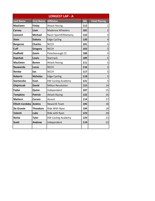|                        | <b>LONGEST LAP - A</b> |                           |            |                      |  |  |  |  |  |  |
|------------------------|------------------------|---------------------------|------------|----------------------|--|--|--|--|--|--|
| <b>Last Name</b>       | <b>First Name</b>      | <b>Affiliates</b>         | <b>Bib</b> | <b>Final Placing</b> |  |  |  |  |  |  |
| <b>MacEwen</b>         | <b>Finlay</b>          | <b>Attack Racing</b>      | 112        | $\mathbf{1}$         |  |  |  |  |  |  |
| Carney                 | Liam                   | <b>Madonna Wheelers</b>   | 102        | $\overline{2}$       |  |  |  |  |  |  |
| Leonard                | <b>Michael</b>         | Racer Sportif/Mattamy     | 110        | 3                    |  |  |  |  |  |  |
| <b>Stein</b>           | <b>Dakota</b>          | <b>Edge Cycling</b>       | 120        | $\overline{4}$       |  |  |  |  |  |  |
| <b>Bergeron</b>        | <b>Charles</b>         | <b>NCCH</b>               | 101        | 5                    |  |  |  |  |  |  |
| Cuff                   | <b>Gregory</b>         | <b>NCCH</b>               | 103        | 5                    |  |  |  |  |  |  |
| <b>Hadfield</b>        | Gavin                  | Peterborough CC           | 108        | 5                    |  |  |  |  |  |  |
| <b>Kopchak</b>         | Lewis                  | <b>Startrack</b>          | 109        | 5                    |  |  |  |  |  |  |
| <b>MacEwen</b>         | <b>Benen</b>           | <b>Attack Racing</b>      | 111        | 5                    |  |  |  |  |  |  |
| Rauwerda               | Lucas                  | <b>NCCH</b>               | 116        | 5                    |  |  |  |  |  |  |
| <b>Reinke</b>          | lan                    | <b>NCCH</b>               | 117        | 5                    |  |  |  |  |  |  |
| <b>Roberts</b>         | <b>Nicholas</b>        | <b>Edge Cycling</b>       | 118        | 5                    |  |  |  |  |  |  |
| <b>Szemeczko</b>       | Evan                   | <b>KW Cycling Academy</b> | 121        | 5                    |  |  |  |  |  |  |
| Olejniczak             | <b>David</b>           | <b>Milton Revolution</b>  | 115        | 14                   |  |  |  |  |  |  |
| Fedor                  | Quinn                  | Independent               | 107        | 15                   |  |  |  |  |  |  |
| <b>Tompkins</b>        | <b>Patrick</b>         | <b>Attack Racing</b>      | 122        | 16                   |  |  |  |  |  |  |
| <b>Mattern</b>         | Carson                 | Ascent                    | 114        | 17                   |  |  |  |  |  |  |
| <b>Elliott-Cordoba</b> | <b>Andres</b>          | Neworld Team              | 105        | 18                   |  |  |  |  |  |  |
| De Groote              | <b>Theodore</b>        | Ride With Ryan            | 104        | 19                   |  |  |  |  |  |  |
| Valenti                | Luke                   | Ride with Ryan            | 123        | 20                   |  |  |  |  |  |  |
| <b>Rorke</b>           | <b>Tyler</b>           | <b>KW Cycling Academy</b> | 124        | 21                   |  |  |  |  |  |  |
| <b>Scott</b>           | <b>Andrew</b>          | Independent               | 119        | 22                   |  |  |  |  |  |  |
|                        |                        |                           |            |                      |  |  |  |  |  |  |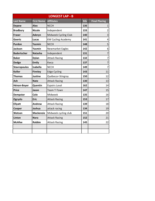|                     |                   | <b>LONGEST LAP - B</b>    |            |                         |
|---------------------|-------------------|---------------------------|------------|-------------------------|
| <b>Last Name</b>    | <b>First Name</b> | <b>Affiliates</b>         | <b>Bib</b> | <b>Final Placing</b>    |
| <b>Depew</b>        | <b>Alex</b>       | <b>NCCH</b>               | 136        | $\mathbf{1}$            |
| <b>Bradbury</b>     | <b>Nicole</b>     | Independent               | 133        | $\overline{2}$          |
| <b>Fraser</b>       | Aderyn            | Midweek Cycling Club      | 140        | 3                       |
| Goertz              | Lucas             | <b>KW Cycling Academy</b> | 141        | 4                       |
| Purdon              | Yazmin            | <b>NCCH</b>               | 148        | 5                       |
| <b>Jackson</b>      | Yasmin            | <b>Newmarket Eagles</b>   | 142        | 6                       |
| <b>Badertscher</b>  | <b>Natasha</b>    | Independent               | 131        | $\overline{7}$          |
| <b>Baker</b>        | <b>Dylan</b>      | <b>Attack Racing</b>      | 132        | $\overline{\mathbf{z}}$ |
| <b>Dodge</b>        | <b>Emily</b>      | Kwca                      | 137        | $\overline{7}$          |
| <b>Stavropoulos</b> | <b>Isabella</b>   | <b>NCCH</b>               | 149        | $\overline{7}$          |
| <b>Koller</b>       | <b>Finnley</b>    | <b>Edge Cycling</b>       | 143        | 11                      |
| <b>Thomas</b>       | <b>Justine</b>    | Québecor-Stingray         | 150        | 12                      |
| <b>Ash</b>          | <b>Nate</b>       | <b>Attack Racing</b>      | 130        | 13                      |
| Hénon-Boyer         | Quentin           | <b>Espoirs Laval</b>      | 162        | 14                      |
| <b>Price</b>        | Jason             | <b>Team T-Town</b>        | 147        | 15                      |
| <b>Dempster</b>     | Cole              | Midweek                   | 135        | 16                      |
| Ogryzlo             | <b>Eric</b>       | <b>Attack Racing</b>      | 153        | 17                      |
| <b>Ellyatt</b>      | Andrew            | <b>Attack Racing</b>      | 139        | 18                      |
| Cooper              | Joshua            | attack racing             | 134        | 19                      |
| Watson              | <b>Mackenzie</b>  | Midweek cycling club      | 151        | 20                      |
| Linton              | <b>Nora</b>       | <b>Attack Racing</b>      | 152        | 21                      |
| <b>McAfee</b>       | <b>Robbie</b>     | <b>Attack Racing</b>      | 145        | 22                      |
|                     |                   |                           |            |                         |
|                     |                   |                           |            |                         |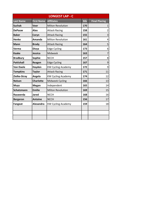|                   |                   | <b>LONGEST LAP - C</b>    |            |                      |
|-------------------|-------------------|---------------------------|------------|----------------------|
| <b>Last Name</b>  | <b>First Name</b> | <b>Affiliates</b>         | <b>Bib</b> | <b>Final Placing</b> |
| <b>Suchak</b>     | Veer              | <b>Milton Revolution</b>  | 170        | $\mathbf{1}$         |
| <b>DePauw</b>     | Alex              | <b>Attack Racing</b>      | 158        | $\overline{2}$       |
| <b>Baker</b>      | Coryn             | <b>Attack Racing</b>      | 155        | 3                    |
| <b>Henke</b>      | Amanda            | <b>Milton Revolution</b>  | 161        | 4                    |
| <b>Mann</b>       | <b>Brody</b>      | <b>Attack Racing</b>      | 164        | 5                    |
| Verma             | <b>Divya</b>      | <b>Edge Cycling</b>       | 173        | 6                    |
| <b>Kaake</b>      | <b>Jessica</b>    | Midweek                   | 163        | $\overline{7}$       |
| <b>Bradbury</b>   | Sophie            | <b>NCCH</b>               | 157        | 8                    |
| <b>Pattishall</b> | Reagen            | <b>Edge Cycling</b>       | 167        | 9                    |
| <b>Van Daele</b>  | Hayden            | <b>KW Cycling Academy</b> | 172        | 9                    |
| <b>Tompkins</b>   | <b>Taylor</b>     | <b>Attack Racing</b>      | 171        | 11                   |
| Zielke-Stray      | Angela            | <b>KW Cycling Academy</b> | 174        | 12                   |
| <b>Nelson</b>     | <b>Charlotte</b>  | Midweek Cycling           | 166        | 13                   |
| <b>Muys</b>       | <b>Megan</b>      | Independent               | 165        | 14                   |
| Schatzmann        | <b>Emilie</b>     | <b>Milton Revolution</b>  | 169        | 15                   |
| Rauwerda          | <b>Jared</b>      | <b>NCCH</b>               | 168        | 16                   |
| <b>Bergeron</b>   | <b>Antoine</b>    | <b>NCCH</b>               | 156        | 17                   |
| <b>Fangeat</b>    | Alexandra         | <b>KW Cycling Academy</b> | 159        | 18                   |
|                   |                   |                           |            |                      |
|                   |                   |                           |            |                      |
|                   |                   |                           |            |                      |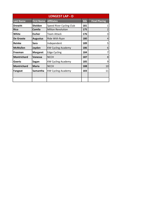|                    | <b>LONGEST LAP - D</b> |                           |            |                      |  |  |  |  |  |  |
|--------------------|------------------------|---------------------------|------------|----------------------|--|--|--|--|--|--|
| <b>Last Name</b>   | <b>First Name</b>      | <b>Affiliates</b>         | <b>Bib</b> | <b>Final Placing</b> |  |  |  |  |  |  |
| <b>Drewitt</b>     | <b>Sheldon</b>         | Speed River Cycling Club  | 181        | 1                    |  |  |  |  |  |  |
| <b>Rico</b>        | Camila                 | <b>Milton Revolution</b>  | 175        | $\overline{2}$       |  |  |  |  |  |  |
| White              | <b>Escher</b>          | Team Attack               | 176        | 3                    |  |  |  |  |  |  |
| De Groote          | <b>Augustus</b>        | Ride With Ryan            | 180        | 4                    |  |  |  |  |  |  |
| Reinke             | Sara                   | Independent               | 189        | 5                    |  |  |  |  |  |  |
| <b>McMullen</b>    | Jayden                 | <b>KW Cycling Academy</b> | 186        | 6                    |  |  |  |  |  |  |
| Freeman            | <b>Margaret</b>        | <b>Edge Cycling</b>       | 184        | $\overline{7}$       |  |  |  |  |  |  |
| <b>Montrichard</b> | Vanessa                | <b>NCCH</b>               | 187        | 8                    |  |  |  |  |  |  |
| Goertz             | Sagan                  | <b>KW Cycling Academy</b> | 185        | 9                    |  |  |  |  |  |  |
| <b>Montrichard</b> | <b>Maria</b>           | <b>NCCH</b>               | 188        | 10                   |  |  |  |  |  |  |
| <b>Fangeat</b>     | Samantha               | <b>KW Cycling Academy</b> | 183        | 11                   |  |  |  |  |  |  |
|                    |                        |                           |            |                      |  |  |  |  |  |  |
|                    |                        |                           |            |                      |  |  |  |  |  |  |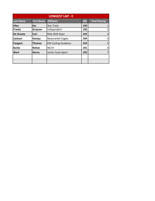| <b>LONGEST LAP - E</b> |                   |                           |            |                      |  |  |  |  |  |
|------------------------|-------------------|---------------------------|------------|----------------------|--|--|--|--|--|
| <b>Last Name</b>       | <b>First Name</b> | <b>Affiliates</b>         | <b>Bib</b> | <b>Final Placing</b> |  |  |  |  |  |
| Afan                   | Kai               | <b>Star Track</b>         | 190        | 1                    |  |  |  |  |  |
| <b>Franks</b>          | Grayson           | Independent               | 196        | $\overline{2}$       |  |  |  |  |  |
| De Groote              | Carl              | Ride With Ryan            | 192        | 3                    |  |  |  |  |  |
| <b>Jackson</b>         | Haniya            | Newmarket Eagles          | 194        | $\overline{4}$       |  |  |  |  |  |
| <b>Fangeat</b>         | <b>Thomas</b>     | <b>KW Cycling Academy</b> | 193        | 5                    |  |  |  |  |  |
| <b>Burke</b>           | Rohan             | <b>NCCH</b>               | 191        | 6                    |  |  |  |  |  |
| Wert                   | <b>Henry</b>      | Junior Cycle Sport        | 195        | $\overline{7}$       |  |  |  |  |  |
|                        |                   |                           |            |                      |  |  |  |  |  |
|                        |                   |                           |            |                      |  |  |  |  |  |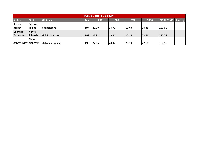| <b>PARA - KILO - 4 LAPS</b> |                 |                                       |            |       |       |       |       |                   |                |  |  |
|-----------------------------|-----------------|---------------------------------------|------------|-------|-------|-------|-------|-------------------|----------------|--|--|
| <b>Stoker</b>               | <b>Pilot</b>    | <b>Affiliates</b>                     | <b>Bib</b> | 250   | 500   | 750   | 1000  | <b>FINAL TIME</b> | <b>Placing</b> |  |  |
| <b>Kavisha</b>              | Petrina         |                                       |            |       |       |       |       |                   |                |  |  |
| Barran                      | <b>Tullissi</b> | Independant                           | 197        | 25.00 | 18.72 | 19.43 | 20.35 | 1.23.50           |                |  |  |
| <b>Michelle</b>             | <b>Nancy</b>    |                                       |            |       |       |       |       |                   |                |  |  |
| <b>Dathorne</b>             |                 | Schmeler HighGate Racing              | 198        | 27.38 | 19.41 | 20.14 | 20.78 | 1.27.71           |                |  |  |
|                             | Alana           |                                       |            |       |       |       |       |                   |                |  |  |
|                             |                 | Ashlyn Eddy Ziobroski Midweek Cycling | 199        | 27.15 | 20.97 | 21.89 | 22.50 | 1.32.50           |                |  |  |